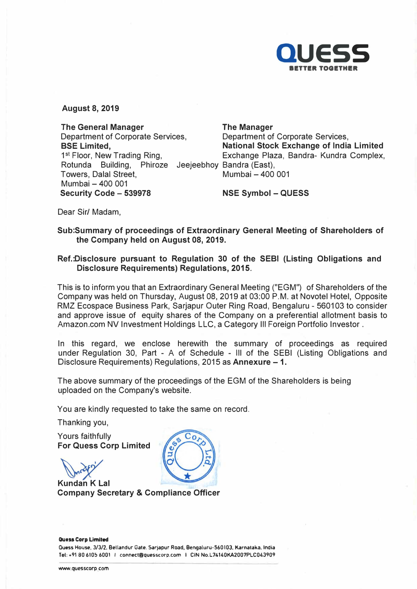

**August 8, 2019** 

**The General Manager The Manager**  Department of Corporate Services, **BSE Limited,**  1**st** Floor, New Trading Ring, Rotunda Building, Phiroze Jeejeebhoy Sandra (East), Towers, Dalal Street, Mumbai - 400 001 **Security Code - 539978** 

Department of Corporate Services, **National Stock Exchange of India Limited**  Exchange Plaza, Sandra- Kundra Complex, Mumbai - 400 001

**NSE Symbol - QUESS** 

Dear Sir/ Madam,

**Sub:Summary of proceedings of Extraordinary General Meeting of Shareholders of the Company held on August 08, 2019.** 

## **Ref.:Disclosure pursuant to Regulation 30 of the SEBI (Listing Obligations and Disclosure Requirements) Regulations, 2015.**

This is to inform you that an Extraordinary General Meeting ("EGM") of Shareholders of the Company was held on Thursday, August 08, 2019 at 03:00 P .M. at Novotel Hotel, Opposite RMZ Ecospace Business Park, Sarjapur Outer Ring Road, Bengaluru - 560103 to consider and approve issue of equity shares of the Company on a preferential allotment basis to Amazon.com NV Investment Holdings LLC, a Category Ill Foreign Portfolio Investor .

In this regard, we enclose herewith the summary of proceedings as required under Regulation 30, Part - A of Schedule - Ill of the SEBI (Listing Obligations and Disclosure Requirements) Regulations, 2015 as **Annexure - 1.** 

The above summary of the proceedings of the EGM of the Shareholders is being uploaded on the Company's website.

You are kindly requested to take the same on record.

Thanking you,

Yours faithfully **For Quess Corp Limited** 

�� **Kundan K Lal Company Secretary & Compliance Officer** 



**Ouess House, 3/3/2. Bellandur Gate. Sarjapur Road, Bengaluru-560103, Karnataka. India Tel: +9180 6105 6001 I connect@quesscorp.com I CIN No.L74140KA2007PLC043909**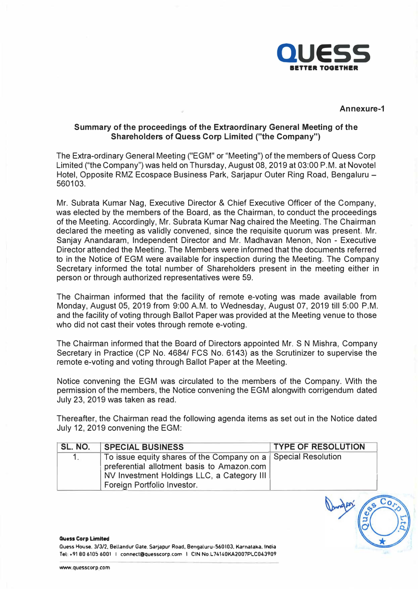

**Annexure-1** 

## **Summary of the proceedings of the Extraordinary General Meeting of the Shareholders of Quess Corp Limited ("the Company")**

The Extra-ordinary General Meeting ("EGM" or "Meeting") of the members of Quess Corp Limited ("the Company") was held on Thursday, August 08, 2019 at 03:00 P.M. at Novotel Hotel, Opposite RMZ Ecospace Business Park, Sarjapur Outer Ring Road, Bengaluru -560103.

Mr. Subrata Kumar Nag, Executive Director & Chief Executive Officer of the Company, was elected by the members of the Board, as the Chairman, to conduct the proceedings of the Meeting. Accordingly, Mr. Subrata Kumar Nag chaired the Meeting. The Chairman declared the meeting as validly convened, since the requisite quorum was present. Mr. Sanjay Anandaram, Independent Director and Mr. Madhavan Menon, Non - Executive Director attended the Meeting. The Members were informed that the documents referred to in the Notice of EGM were available for inspection during the Meeting. The Company Secretary informed the total number of Shareholders present in the meeting either in person or through authorized representatives were 59.

The Chairman informed that the facility of remote e-voting was made available from Monday, August 05, 2019 from 9:00 A.M. to Wednesday, August 07, 2019 till 5:00 P.M. and the facility of voting through Ballot Paper was provided at the Meeting venue to those who did not cast their votes through remote e-voting.

The Chairman informed that the Board of Directors appointed Mr. S N Mishra, Company Secretary in Practice (CP No. 4684/ FCS No. 6143) as the Scrutinizer to supervise the remote e-voting and voting through Ballot Paper at the Meeting.

Notice convening the EGM was circulated to the members of the Company. With the permission of the members, the Notice convening the EGM alongwith corrigendum dated July 23, 2019 was taken as read.

Thereafter, the Chairman read the following agenda items as set out in the Notice dated July 12, 2019 convening the EGM:

| SL. NO. | <b>SPECIAL BUSINESS</b>                                       | <b>TYPE OF RESOLUTION</b> |
|---------|---------------------------------------------------------------|---------------------------|
|         | To issue equity shares of the Company on a Special Resolution |                           |
|         | preferential allotment basis to Amazon.com                    |                           |
|         | NV Investment Holdings LLC, a Category III                    |                           |
|         | Foreign Portfolio Investor.                                   |                           |

**Quess Corp Limited Ouess House, 3/3/2, Bellandur Gate, Sarjapur Road, Bengaluru-560I03, Karnataka. India Tel: +91806105 6001 I connect@9quesscorp.com I CIN No.L74140KA2007PLC043909**